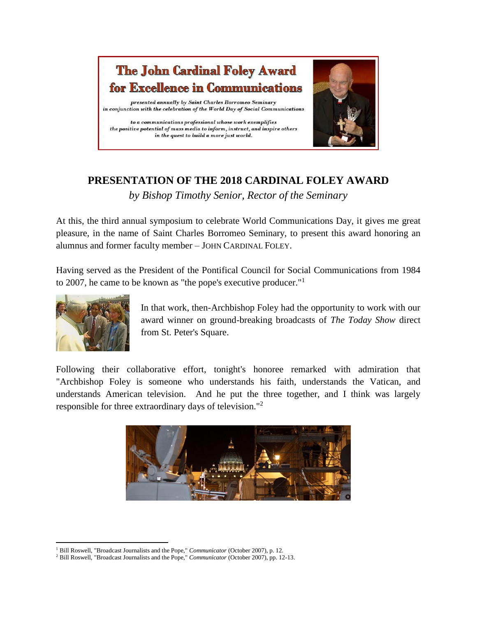

## **PRESENTATION OF THE 2018 CARDINAL FOLEY AWARD** *by Bishop Timothy Senior, Rector of the Seminary*

At this, the third annual symposium to celebrate World Communications Day, it gives me great pleasure, in the name of Saint Charles Borromeo Seminary, to present this award honoring an alumnus and former faculty member – JOHN CARDINAL FOLEY.

Having served as the President of the Pontifical Council for Social Communications from 1984 to 2007, he came to be known as "the pope's executive producer."<sup>1</sup>



In that work, then-Archbishop Foley had the opportunity to work with our award winner on ground-breaking broadcasts of *The Today Show* direct from St. Peter's Square.

Following their collaborative effort, tonight's honoree remarked with admiration that "Archbishop Foley is someone who understands his faith, understands the Vatican, and understands American television. And he put the three together, and I think was largely responsible for three extraordinary days of television."<sup>2</sup>



 $\overline{\phantom{a}}$ <sup>1</sup> Bill Roswell, "Broadcast Journalists and the Pope," *Communicator* (October 2007), p. 12.

<sup>2</sup> Bill Roswell, "Broadcast Journalists and the Pope," *Communicator* (October 2007), pp. 12-13.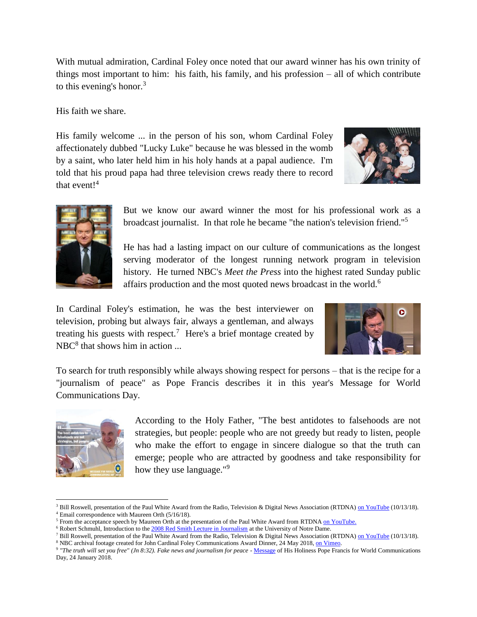With mutual admiration, Cardinal Foley once noted that our award winner has his own trinity of things most important to him: his faith, his family, and his profession – all of which contribute to this evening's honor.<sup>3</sup>

His faith we share.

His family welcome ... in the person of his son, whom Cardinal Foley affectionately dubbed "Lucky Luke" because he was blessed in the womb by a saint, who later held him in his holy hands at a papal audience. I'm told that his proud papa had three television crews ready there to record that event! $4$ 





But we know our award winner the most for his professional work as a broadcast journalist. In that role he became "the nation's television friend."<sup>5</sup>

He has had a lasting impact on our culture of communications as the longest serving moderator of the longest running network program in television history. He turned NBC's *Meet the Press* into the highest rated Sunday public affairs production and the most quoted news broadcast in the world.<sup>6</sup>

In Cardinal Foley's estimation, he was the best interviewer on television, probing but always fair, always a gentleman, and always treating his guests with respect.<sup>7</sup> Here's a brief montage created by  $NBC<sup>8</sup>$  that shows him in action ...



To search for truth responsibly while always showing respect for persons – that is the recipe for a "journalism of peace" as Pope Francis describes it in this year's Message for World Communications Day.



 $\overline{\phantom{a}}$ 

According to the Holy Father, "The best antidotes to falsehoods are not strategies, but people: people who are not greedy but ready to listen, people who make the effort to engage in sincere dialogue so that the truth can emerge; people who are attracted by goodness and take responsibility for how they use language."<sup>9</sup>

<sup>&</sup>lt;sup>3</sup> Bill Roswell, presentation of the Paul White Award from the Radio, Television & Digital News Association (RTDNA[\) on YouTube](https://www.youtube.com/watch?v=YryhYgV4i3Q&feature=youtu.be) (10/13/18). <sup>4</sup> Email correspondence with Maureen Orth (5/16/18).

<sup>&</sup>lt;sup>5</sup> From the acceptance speech by Maureen Orth at the presentation of the Paul White Award from RTDN[A on YouTube.](https://www.youtube.com/watch?v=YryhYgV4i3Q&feature=youtu.be)

 $6$  Robert Schmuhl, Introduction to the  $2008$  Red Smith Lecture in Journalism at the University of Notre Dame.

<sup>&</sup>lt;sup>7</sup> Bill Roswell, presentation of the Paul White Award from the Radio, Television & Digital News Association (RTDNA[\) on YouTube](https://www.youtube.com/watch?v=YryhYgV4i3Q&feature=youtu.be) (10/13/18).

<sup>&</sup>lt;sup>8</sup> NBC archival footage created for John Cardinal Foley Communications Award Dinner, 24 May 2018[, on Vimeo.](https://vimeo.com/270523289/e1fad0c0a8)

<sup>9</sup> *"The truth will set you free" (Jn 8:32). Fake news and journalism for peace -* [Message](http://w2.vatican.va/content/francesco/en/messages/communications/documents/papa-francesco_20180124_messaggio-comunicazioni-sociali.html) of His Holiness Pope Francis for World Communications Day, 24 January 2018.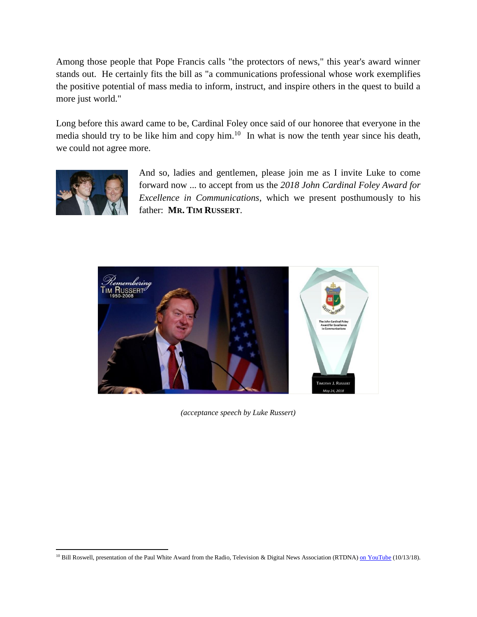Among those people that Pope Francis calls "the protectors of news," this year's award winner stands out. He certainly fits the bill as "a communications professional whose work exemplifies the positive potential of mass media to inform, instruct, and inspire others in the quest to build a more just world."

Long before this award came to be, Cardinal Foley once said of our honoree that everyone in the media should try to be like him and copy him. $10$  In what is now the tenth year since his death, we could not agree more.



 $\overline{\phantom{a}}$ 

And so, ladies and gentlemen, please join me as I invite Luke to come forward now ... to accept from us the *2018 John Cardinal Foley Award for Excellence in Communications*, which we present posthumously to his father: **MR. TIM RUSSERT**.



*(acceptance speech by Luke Russert)*

<sup>&</sup>lt;sup>10</sup> Bill Roswell, presentation of the Paul White Award from the Radio, Television & Digital News Association (RTDNA) [on YouTube](https://www.youtube.com/watch?v=YryhYgV4i3Q&feature=youtu.be) (10/13/18).